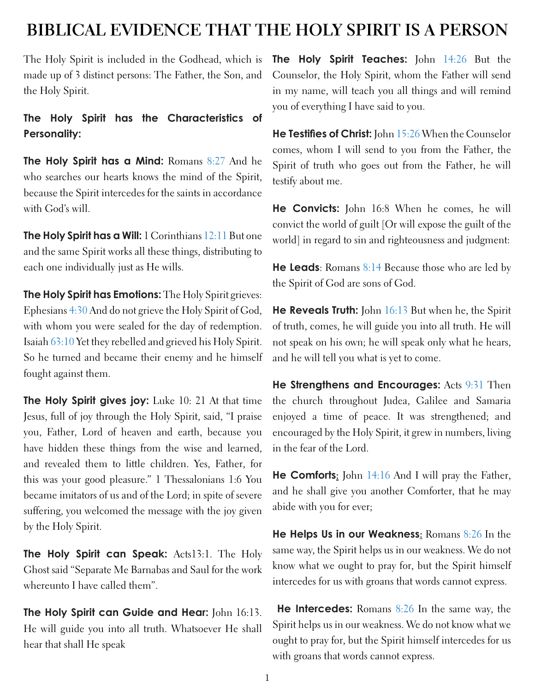# **BIBLICAL EVIDENCE THAT THE HOLY SPIRIT IS A PERSON**

The Holy Spirit is included in the Godhead, which is made up of 3 distinct persons: The Father, the Son, and the Holy Spirit.

# **The Holy Spirit has the Characteristics of Personality:**

**The Holy Spirit has a Mind:** Romans 8:27 And he who searches our hearts knows the mind of the Spirit, because the Spirit intercedes for the saints in accordance with God's will.

**The Holy Spirit has a Will:** 1 Corinthians 12:11 But one and the same Spirit works all these things, distributing to each one individually just as He wills.

**The Holy Spirit has Emotions:** The Holy Spirit grieves: Ephesians 4:30 And do not grieve the Holy Spirit of God, with whom you were sealed for the day of redemption. Isaiah 63:10 Yet they rebelled and grieved his Holy Spirit. So he turned and became their enemy and he himself fought against them.

**The Holy Spirit gives joy:** Luke 10: 21 At that time Jesus, full of joy through the Holy Spirit, said, "I praise you, Father, Lord of heaven and earth, because you have hidden these things from the wise and learned, and revealed them to little children. Yes, Father, for this was your good pleasure." 1 Thessalonians 1:6 You became imitators of us and of the Lord; in spite of severe suffering, you welcomed the message with the joy given by the Holy Spirit.

**The Holy Spirit can Speak:** Acts13:1. The Holy Ghost said "Separate Me Barnabas and Saul for the work whereunto I have called them".

**The Holy Spirit can Guide and Hear:** John 16:13. He will guide you into all truth. Whatsoever He shall hear that shall He speak

**The Holy Spirit Teaches:** John 14:26 But the Counselor, the Holy Spirit, whom the Father will send in my name, will teach you all things and will remind you of everything I have said to you.

**He Testifies of Christ:** John 15:26 When the Counselor comes, whom I will send to you from the Father, the Spirit of truth who goes out from the Father, he will testify about me.

**He Convicts:** John 16:8 When he comes, he will convict the world of guilt [Or will expose the guilt of the world] in regard to sin and righteousness and judgment:

**He Leads**: Romans 8:14 Because those who are led by the Spirit of God are sons of God.

**He Reveals Truth:** John 16:13 But when he, the Spirit of truth, comes, he will guide you into all truth. He will not speak on his own; he will speak only what he hears, and he will tell you what is yet to come.

**He Strengthens and Encourages:** Acts 9:31 Then the church throughout Judea, Galilee and Samaria enjoyed a time of peace. It was strengthened; and encouraged by the Holy Spirit, it grew in numbers, living in the fear of the Lord.

**He Comforts:** John 14:16 And I will pray the Father, and he shall give you another Comforter, that he may abide with you for ever;

**He Helps Us in our Weakness:** Romans 8:26 In the same way, the Spirit helps us in our weakness. We do not know what we ought to pray for, but the Spirit himself intercedes for us with groans that words cannot express.

**He Intercedes:** Romans 8:26 In the same way, the Spirit helps us in our weakness. We do not know what we ought to pray for, but the Spirit himself intercedes for us with groans that words cannot express.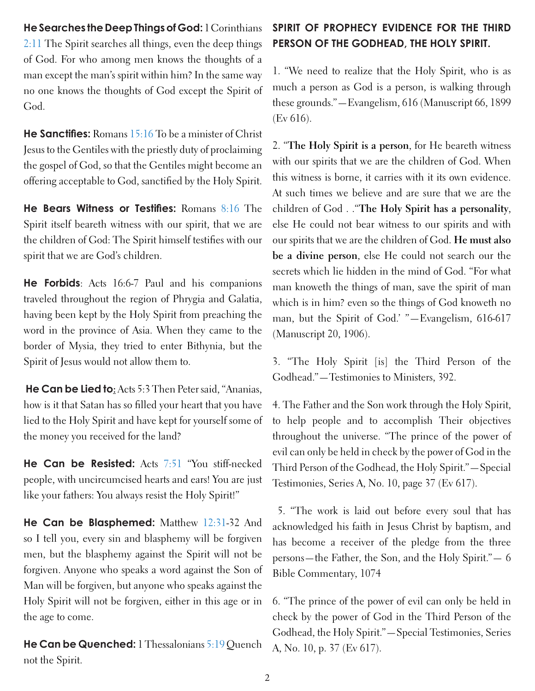**He Searches the Deep Things of God:** 1 Corinthians 2:11 The Spirit searches all things, even the deep things of God. For who among men knows the thoughts of a man except the man's spirit within him? In the same way no one knows the thoughts of God except the Spirit of God.

**He Sanctifies:** Romans 15:16 To be a minister of Christ Jesus to the Gentiles with the priestly duty of proclaiming the gospel of God, so that the Gentiles might become an offering acceptable to God, sanctified by the Holy Spirit.

**He Bears Witness or Testifies:** Romans 8:16 The Spirit itself beareth witness with our spirit, that we are the children of God: The Spirit himself testifies with our spirit that we are God's children.

**He Forbids**: Acts 16:6-7 Paul and his companions traveled throughout the region of Phrygia and Galatia, having been kept by the Holy Spirit from preaching the word in the province of Asia. When they came to the border of Mysia, they tried to enter Bithynia, but the Spirit of Jesus would not allow them to.

 **He Can be Lied to:** Acts 5:3 Then Peter said, "Ananias, how is it that Satan has so filled your heart that you have lied to the Holy Spirit and have kept for yourself some of the money you received for the land?

**He Can be Resisted:** Acts 7:51 "You stiff-necked people, with uncircumcised hearts and ears! You are just like your fathers: You always resist the Holy Spirit!"

**He Can be Blasphemed:** Matthew 12:31-32 And so I tell you, every sin and blasphemy will be forgiven men, but the blasphemy against the Spirit will not be forgiven. Anyone who speaks a word against the Son of Man will be forgiven, but anyone who speaks against the Holy Spirit will not be forgiven, either in this age or in the age to come.

**He Can be Quenched:** 1 Thessalonians 5:19 Quench not the Spirit.

# **SPIRIT OF PROPHECY EVIDENCE FOR THE THIRD PERSON OF THE GODHEAD, THE HOLY SPIRIT.**

1. "We need to realize that the Holy Spirit, who is as much a person as God is a person, is walking through these grounds."—Evangelism, 616 (Manuscript 66, 1899 (Ev 616).

2. "**The Holy Spirit is a person**, for He beareth witness with our spirits that we are the children of God. When this witness is borne, it carries with it its own evidence. At such times we believe and are sure that we are the children of God . ."**The Holy Spirit has a personality**, else He could not bear witness to our spirits and with our spirits that we are the children of God. **He must also be a divine person**, else He could not search our the secrets which lie hidden in the mind of God. "For what man knoweth the things of man, save the spirit of man which is in him? even so the things of God knoweth no man, but the Spirit of God.' "—Evangelism, 616-617 (Manuscript 20, 1906).

3. "The Holy Spirit [is] the Third Person of the Godhead."—Testimonies to Ministers, 392.

4. The Father and the Son work through the Holy Spirit, to help people and to accomplish Their objectives throughout the universe. "The prince of the power of evil can only be held in check by the power of God in the Third Person of the Godhead, the Holy Spirit."—Special Testimonies, Series A, No. 10, page 37 (Ev 617).

 5. "The work is laid out before every soul that has acknowledged his faith in Jesus Christ by baptism, and has become a receiver of the pledge from the three persons—the Father, the Son, and the Holy Spirit."— 6 Bible Commentary, 1074

6. "The prince of the power of evil can only be held in check by the power of God in the Third Person of the Godhead, the Holy Spirit."—Special Testimonies, Series A, No. 10, p. 37 (Ev 617).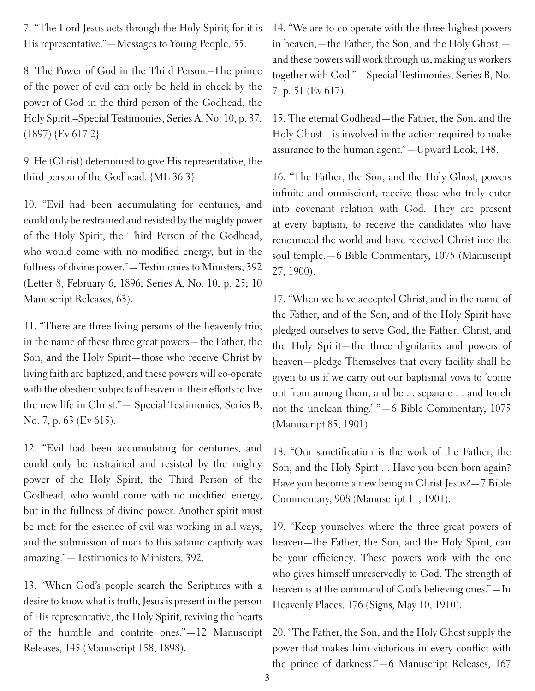7. "The Lord Jesus acts through the Holy Spirit; for it is His representative."—Messages to Young People, 55.

8. The Power of God in the Third Person.--The prince of the power of evil can only be held in check by the power of God in the third person of the Godhead, the Holy Spirit.--Special Testimonies, Series A, No. 10, p. 37. (1897) {Ev 617.2}

9. He (Christ) determined to give His representative, the third person of the Godhead. {ML 36.3}

10. "Evil had been accumulating for centuries, and could only be restrained and resisted by the mighty power of the Holy Spirit, the Third Person of the Godhead, who would come with no modified energy, but in the fullness of divine power."—Testimonies to Ministers, 392 (Letter 8, February 6, 1896; Series A, No. 10, p. 25; 10 Manuscript Releases, 63).

11. "There are three living persons of the heavenly trio; in the name of these three great powers—the Father, the Son, and the Holy Spirit—those who receive Christ by living faith are baptized, and these powers will co-operate with the obedient subjects of heaven in their efforts to live the new life in Christ."— Special Testimonies, Series B, No. 7, p. 63 (Ev 615).

12. "Evil had been accumulating for centuries, and could only be restrained and resisted by the mighty power of the Holy Spirit, the Third Person of the Godhead, who would come with no modified energy, but in the fullness of divine power. Another spirit must be met: for the essence of evil was working in all ways, and the submission of man to this satanic captivity was amazing."—Testimonies to Ministers, 392.

13. "When God's people search the Scriptures with a desire to know what is truth, Jesus is present in the person of His representative, the Holy Spirit, reviving the hearts of the humble and contrite ones."—12 Manuscript Releases, 145 (Manuscript 158, 1898).

14. "We are to co-operate with the three highest powers in heaven,—the Father, the Son, and the Holy Ghost, and these powers will work through us, making us workers together with God."—Special Testimonies, Series B, No. 7, p. 51 (Ev 617).

15. The eternal Godhead—the Father, the Son, and the Holy Ghost—is involved in the action required to make assurance to the human agent."—Upward Look, 148.

16. "The Father, the Son, and the Holy Ghost, powers infinite and omniscient, receive those who truly enter into covenant relation with God. They are present at every baptism, to receive the candidates who have renounced the world and have received Christ into the soul temple.—6 Bible Commentary, 1075 (Manuscript 27, 1900).

17. "When we have accepted Christ, and in the name of the Father, and of the Son, and of the Holy Spirit have pledged ourselves to serve God, the Father, Christ, and the Holy Spirit—the three dignitaries and powers of heaven—pledge Themselves that every facility shall be given to us if we carry out our baptismal vows to 'come out from among them, and be . . separate . . and touch not the unclean thing.' "—6 Bible Commentary, 1075 (Manuscript 85, 1901).

18. "Our sanctification is the work of the Father, the Son, and the Holy Spirit . . Have you been born again? Have you become a new being in Christ Jesus?—7 Bible Commentary, 908 (Manuscript 11, 1901).

19. "Keep yourselves where the three great powers of heaven—the Father, the Son, and the Holy Spirit, can be your efficiency. These powers work with the one who gives himself unreservedly to God. The strength of heaven is at the command of God's believing ones."—In Heavenly Places, 176 (Signs, May 10, 1910).

20. "The Father, the Son, and the Holy Ghost supply the power that makes him victorious in every conflict with the prince of darkness."—6 Manuscript Releases, 167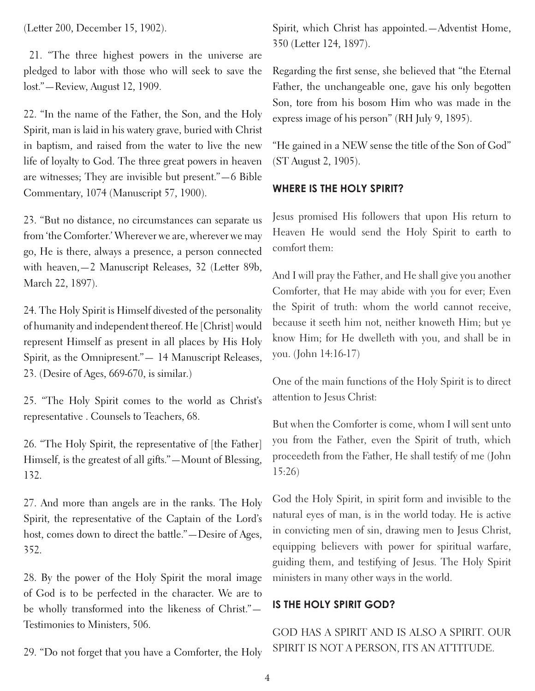(Letter 200, December 15, 1902).

 21. "The three highest powers in the universe are pledged to labor with those who will seek to save the lost."—Review, August 12, 1909.

22. "In the name of the Father, the Son, and the Holy Spirit, man is laid in his watery grave, buried with Christ in baptism, and raised from the water to live the new life of loyalty to God. The three great powers in heaven are witnesses; They are invisible but present."—6 Bible Commentary, 1074 (Manuscript 57, 1900).

23. "But no distance, no circumstances can separate us from 'the Comforter.' Wherever we are, wherever we may go, He is there, always a presence, a person connected with heaven,—2 Manuscript Releases, 32 (Letter 89b, March 22, 1897).

24. The Holy Spirit is Himself divested of the personality of humanity and independent thereof. He [Christ] would represent Himself as present in all places by His Holy Spirit, as the Omnipresent."— 14 Manuscript Releases, 23. (Desire of Ages, 669-670, is similar.)

25. "The Holy Spirit comes to the world as Christ's representative . Counsels to Teachers, 68.

26. "The Holy Spirit, the representative of [the Father] Himself, is the greatest of all gifts."—Mount of Blessing, 132.

27. And more than angels are in the ranks. The Holy Spirit, the representative of the Captain of the Lord's host, comes down to direct the battle."—Desire of Ages, 352.

28. By the power of the Holy Spirit the moral image of God is to be perfected in the character. We are to be wholly transformed into the likeness of Christ."— Testimonies to Ministers, 506.

29. "Do not forget that you have a Comforter, the Holy

Spirit, which Christ has appointed.—Adventist Home, 350 (Letter 124, 1897).

Regarding the first sense, she believed that "the Eternal Father, the unchangeable one, gave his only begotten Son, tore from his bosom Him who was made in the express image of his person" (RH July 9, 1895).

"He gained in a NEW sense the title of the Son of God" (ST August 2, 1905).

## **WHERE IS THE HOLY SPIRIT?**

Jesus promised His followers that upon His return to Heaven He would send the Holy Spirit to earth to comfort them:

And I will pray the Father, and He shall give you another Comforter, that He may abide with you for ever; Even the Spirit of truth: whom the world cannot receive, because it seeth him not, neither knoweth Him; but ye know Him; for He dwelleth with you, and shall be in you. (John 14:16-17)

One of the main functions of the Holy Spirit is to direct attention to Jesus Christ:

But when the Comforter is come, whom I will sent unto you from the Father, even the Spirit of truth, which proceedeth from the Father, He shall testify of me (John 15:26)

God the Holy Spirit, in spirit form and invisible to the natural eyes of man, is in the world today. He is active in convicting men of sin, drawing men to Jesus Christ, equipping believers with power for spiritual warfare, guiding them, and testifying of Jesus. The Holy Spirit ministers in many other ways in the world.

## **IS THE HOLY SPIRIT GOD?**

GOD HAS A SPIRIT AND IS ALSO A SPIRIT. OUR SPIRIT IS NOT A PERSON, ITS AN ATTITUDE.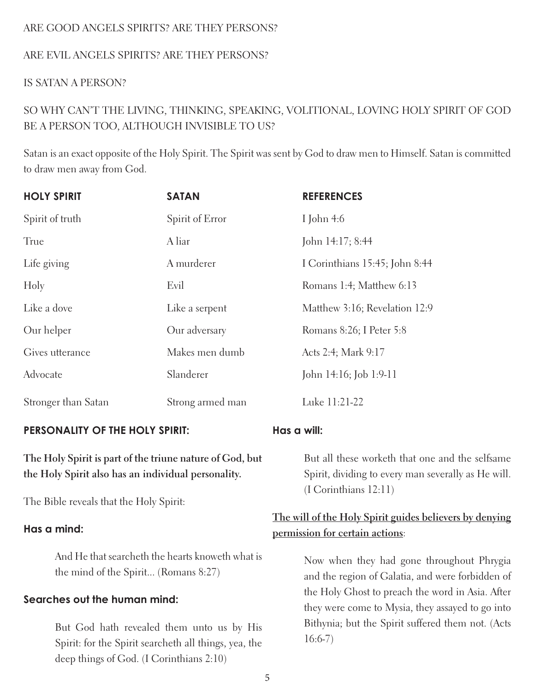## ARE GOOD ANGELS SPIRITS? ARE THEY PERSONS?

### ARE EVIL ANGELS SPIRITS? ARE THEY PERSONS?

#### IS SATAN A PERSON?

# SO WHY CAN'T THE LIVING, THINKING, SPEAKING, VOLITIONAL, LOVING HOLY SPIRIT OF GOD BE A PERSON TOO, ALTHOUGH INVISIBLE TO US?

Satan is an exact opposite of the Holy Spirit. The Spirit was sent by God to draw men to Himself. Satan is committed to draw men away from God.

| <b>HOLY SPIRIT</b>  | <b>SATAN</b>     | <b>REFERENCES</b>              |
|---------------------|------------------|--------------------------------|
| Spirit of truth     | Spirit of Error  | I John $4:6$                   |
| True                | A liar           | John 14:17; 8:44               |
| Life giving         | A murderer       | I Corinthians 15:45; John 8:44 |
| Holy                | Evil             | Romans 1:4; Matthew 6:13       |
| Like a dove         | Like a serpent   | Matthew 3:16; Revelation 12:9  |
| Our helper          | Our adversary    | Romans 8:26; I Peter 5:8       |
| Gives utterance     | Makes men dumb   | Acts 2:4; Mark 9:17            |
| Advocate            | Slanderer        | John 14:16; Job 1:9-11         |
| Stronger than Satan | Strong armed man | Luke 11:21-22                  |

#### **PERSONALITY OF THE HOLY SPIRIT:**

**The Holy Spirit is part of the triune nature of God, but the Holy Spirit also has an individual personality.**

The Bible reveals that the Holy Spirit:

#### **Has a mind:**

And He that searcheth the hearts knoweth what is the mind of the Spirit... (Romans 8:27)

## **Searches out the human mind:**

But God hath revealed them unto us by His Spirit: for the Spirit searcheth all things, yea, the deep things of God. (I Corinthians 2:10)

## **Has a will:**

But all these worketh that one and the selfsame Spirit, dividing to every man severally as He will. (I Corinthians 12:11)

# **The will of the Holy Spirit guides believers by denying permission for certain actions**:

Now when they had gone throughout Phrygia and the region of Galatia, and were forbidden of the Holy Ghost to preach the word in Asia. After they were come to Mysia, they assayed to go into Bithynia; but the Spirit suffered them not. (Acts 16:6-7)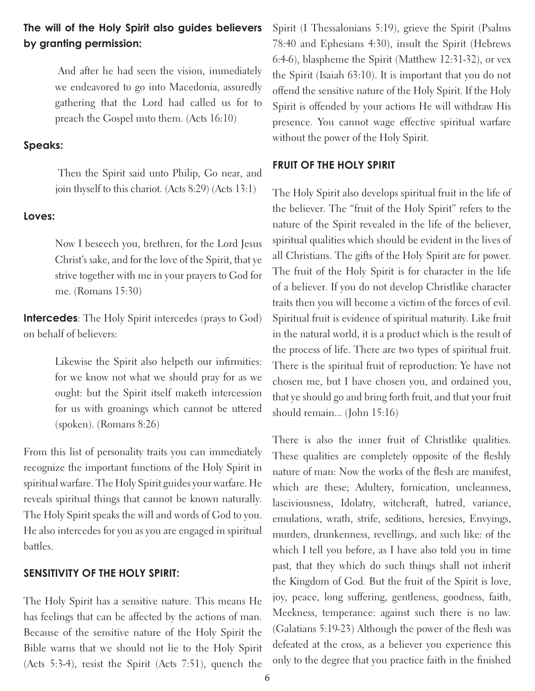## **The will of the Holy Spirit also guides believers by granting permission:**

And after he had seen the vision, immediately we endeavored to go into Macedonia, assuredly gathering that the Lord had called us for to preach the Gospel unto them. (Acts 16:10)

#### **Speaks:**

Then the Spirit said unto Philip, Go near, and join thyself to this chariot. (Acts 8:29) (Acts 13:1)

#### **Loves:**

Now I beseech you, brethren, for the Lord Jesus Christ's sake, and for the love of the Spirit, that ye strive together with me in your prayers to God for me. (Romans 15:30)

**Intercedes**: The Holy Spirit intercedes (prays to God) on behalf of believers:

> Likewise the Spirit also helpeth our infirmities: for we know not what we should pray for as we ought: but the Spirit itself maketh intercession for us with groanings which cannot be uttered (spoken). (Romans 8:26)

From this list of personality traits you can immediately recognize the important functions of the Holy Spirit in spiritual warfare. The Holy Spirit guides your warfare. He reveals spiritual things that cannot be known naturally. The Holy Spirit speaks the will and words of God to you. He also intercedes for you as you are engaged in spiritual battles.

#### **SENSITIVITY OF THE HOLY SPIRIT:**

The Holy Spirit has a sensitive nature. This means He has feelings that can be affected by the actions of man. Because of the sensitive nature of the Holy Spirit the Bible warns that we should not lie to the Holy Spirit (Acts 5:3-4), resist the Spirit (Acts 7:51), quench the

Spirit (I Thessalonians 5:19), grieve the Spirit (Psalms 78:40 and Ephesians 4:30), insult the Spirit (Hebrews 6:4-6), blaspheme the Spirit (Matthew 12:31-32), or vex the Spirit (Isaiah 63:10). It is important that you do not offend the sensitive nature of the Holy Spirit. If the Holy Spirit is offended by your actions He will withdraw His presence. You cannot wage effective spiritual warfare without the power of the Holy Spirit.

## **FRUIT OF THE HOLY SPIRIT**

The Holy Spirit also develops spiritual fruit in the life of the believer. The "fruit of the Holy Spirit" refers to the nature of the Spirit revealed in the life of the believer, spiritual qualities which should be evident in the lives of all Christians. The gifts of the Holy Spirit are for power. The fruit of the Holy Spirit is for character in the life of a believer. If you do not develop Christlike character traits then you will become a victim of the forces of evil. Spiritual fruit is evidence of spiritual maturity. Like fruit in the natural world, it is a product which is the result of the process of life. There are two types of spiritual fruit. There is the spiritual fruit of reproduction: Ye have not chosen me, but I have chosen you, and ordained you, that ye should go and bring forth fruit, and that your fruit should remain... (John 15:16)

There is also the inner fruit of Christlike qualities. These qualities are completely opposite of the fleshly nature of man: Now the works of the flesh are manifest, which are these; Adultery, fornication, uncleanness, lasciviousness, Idolatry, witchcraft, hatred, variance, emulations, wrath, strife, seditions, heresies, Envyings, murders, drunkenness, revellings, and such like: of the which I tell you before, as I have also told you in time past, that they which do such things shall not inherit the Kingdom of God. But the fruit of the Spirit is love, joy, peace, long suffering, gentleness, goodness, faith, Meekness, temperance: against such there is no law. (Galatians 5:19-23) Although the power of the flesh was defeated at the cross, as a believer you experience this only to the degree that you practice faith in the finished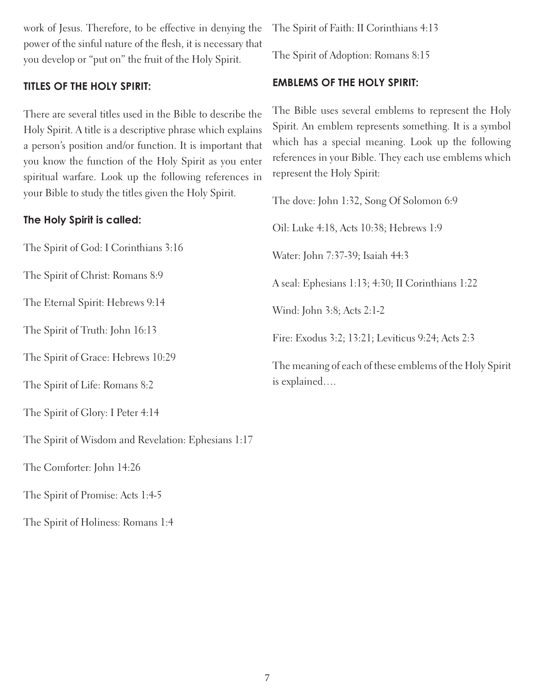work of Jesus. Therefore, to be effective in denying the power of the sinful nature of the flesh, it is necessary that you develop or "put on" the fruit of the Holy Spirit.

## **TITLES OF THE HOLY SPIRIT:**

There are several titles used in the Bible to describe the Holy Spirit. A title is a descriptive phrase which explains a person's position and/or function. It is important that you know the function of the Holy Spirit as you enter spiritual warfare. Look up the following references in your Bible to study the titles given the Holy Spirit.

## **The Holy Spirit is called:**

The Spirit of God: I Corinthians 3:16

The Spirit of Christ: Romans 8:9

The Eternal Spirit: Hebrews 9:14

The Spirit of Truth: John 16:13

The Spirit of Grace: Hebrews 10:29

The Spirit of Life: Romans 8:2

The Spirit of Glory: I Peter 4:14

The Spirit of Wisdom and Revelation: Ephesians 1:17

The Comforter: John 14:26

The Spirit of Promise: Acts 1:4-5

The Spirit of Holiness: Romans 1:4

The Spirit of Faith: II Corinthians 4:13

The Spirit of Adoption: Romans 8:15

## **EMBLEMS OF THE HOLY SPIRIT:**

The Bible uses several emblems to represent the Holy Spirit. An emblem represents something. It is a symbol which has a special meaning. Look up the following references in your Bible. They each use emblems which represent the Holy Spirit:

The dove: John 1:32, Song Of Solomon 6:9 Oil: Luke 4:18, Acts 10:38; Hebrews 1:9 Water: John 7:37-39; Isaiah 44:3 A seal: Ephesians 1:13; 4:30; II Corinthians 1:22 Wind: John 3:8; Acts 2:1-2 Fire: Exodus 3:2; 13:21; Leviticus 9:24; Acts 2:3 The meaning of each of these emblems of the Holy Spirit is explained….